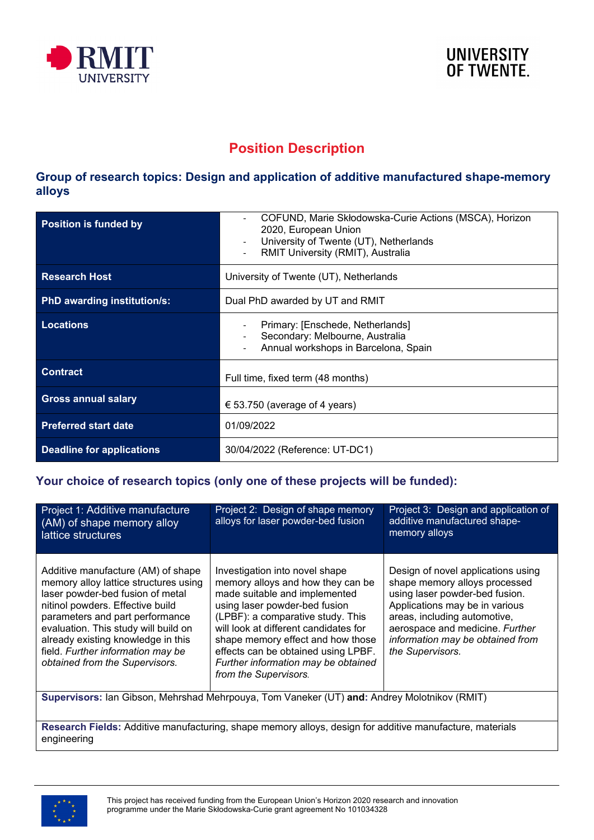



# **Position Description**

### **Group of research topics: Design and application of additive manufactured shape-memory alloys**

| <b>Position is funded by</b>       | COFUND, Marie Skłodowska-Curie Actions (MSCA), Horizon<br>2020, European Union<br>University of Twente (UT), Netherlands<br>RMIT University (RMIT), Australia |  |
|------------------------------------|---------------------------------------------------------------------------------------------------------------------------------------------------------------|--|
| <b>Research Host</b>               | University of Twente (UT), Netherlands                                                                                                                        |  |
| <b>PhD awarding institution/s:</b> | Dual PhD awarded by UT and RMIT                                                                                                                               |  |
| <b>Locations</b>                   | Primary: [Enschede, Netherlands]<br>Secondary: Melbourne, Australia<br>Annual workshops in Barcelona, Spain                                                   |  |
| <b>Contract</b>                    | Full time, fixed term (48 months)                                                                                                                             |  |
| <b>Gross annual salary</b>         | $\epsilon$ 53.750 (average of 4 years)                                                                                                                        |  |
| <b>Preferred start date</b>        | 01/09/2022                                                                                                                                                    |  |
| Deadline for applications          | 30/04/2022 (Reference: UT-DC1)                                                                                                                                |  |

## **Your choice of research topics (only one of these projects will be funded):**

| Project 1: Additive manufacture<br>(AM) of shape memory alloy<br>lattice structures                                                                                                                                                                                                                                                         | Project 2: Design of shape memory<br>alloys for laser powder-bed fusion                                                                                                                                                                                                                                                                                         | Project 3: Design and application of<br>additive manufactured shape-<br>memory alloys                                                                                                                                                                              |  |
|---------------------------------------------------------------------------------------------------------------------------------------------------------------------------------------------------------------------------------------------------------------------------------------------------------------------------------------------|-----------------------------------------------------------------------------------------------------------------------------------------------------------------------------------------------------------------------------------------------------------------------------------------------------------------------------------------------------------------|--------------------------------------------------------------------------------------------------------------------------------------------------------------------------------------------------------------------------------------------------------------------|--|
| Additive manufacture (AM) of shape<br>memory alloy lattice structures using<br>laser powder-bed fusion of metal<br>nitinol powders. Effective build<br>parameters and part performance<br>evaluation. This study will build on<br>already existing knowledge in this<br>field. Further information may be<br>obtained from the Supervisors. | Investigation into novel shape<br>memory alloys and how they can be<br>made suitable and implemented<br>using laser powder-bed fusion<br>(LPBF): a comparative study. This<br>will look at different candidates for<br>shape memory effect and how those<br>effects can be obtained using LPBF.<br>Further information may be obtained<br>from the Supervisors. | Design of novel applications using<br>shape memory alloys processed<br>using laser powder-bed fusion.<br>Applications may be in various<br>areas, including automotive,<br>aerospace and medicine. Further<br>information may be obtained from<br>the Supervisors. |  |
| Supervisors: Ian Gibson, Mehrshad Mehrpouya, Tom Vaneker (UT) and: Andrey Molotnikov (RMIT)                                                                                                                                                                                                                                                 |                                                                                                                                                                                                                                                                                                                                                                 |                                                                                                                                                                                                                                                                    |  |
| Research Fields: Additive manufacturing, shape memory alloys, design for additive manufacture, materials                                                                                                                                                                                                                                    |                                                                                                                                                                                                                                                                                                                                                                 |                                                                                                                                                                                                                                                                    |  |

engineering

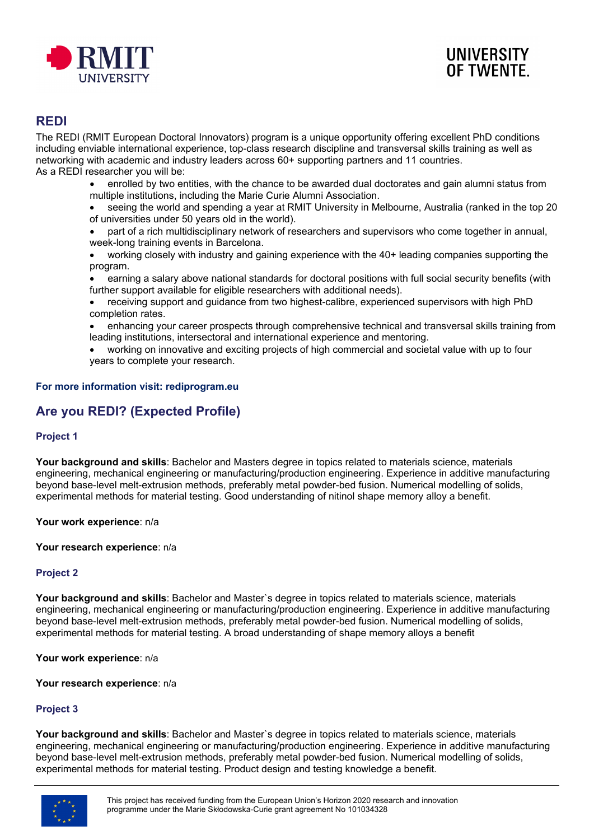



# **REDI**

The REDI (RMIT European Doctoral Innovators) program is a unique opportunity offering excellent PhD conditions including enviable international experience, top-class research discipline and transversal skills training as well as networking with academic and industry leaders across 60+ supporting partners and 11 countries. As a REDI researcher you will be:

- enrolled by two entities, with the chance to be awarded dual doctorates and gain alumni status from multiple institutions, including the Marie Curie Alumni Association.
- seeing the world and spending a year at RMIT University in Melbourne, Australia (ranked in the top 20 of universities under 50 years old in the world).
- part of a rich multidisciplinary network of researchers and supervisors who come together in annual, week-long training events in Barcelona.
- working closely with industry and gaining experience with the 40+ leading companies supporting the program.
- earning a salary above national standards for doctoral positions with full social security benefits (with further support available for eligible researchers with additional needs).
- receiving support and guidance from two highest-calibre, experienced supervisors with high PhD completion rates.
- enhancing your career prospects through comprehensive technical and transversal skills training from leading institutions, intersectoral and international experience and mentoring.
- working on innovative and exciting projects of high commercial and societal value with up to four years to complete your research.

#### **For more information visit: rediprogram.eu**

# **Are you REDI? (Expected Profile)**

#### **Project 1**

**Your background and skills**: Bachelor and Masters degree in topics related to materials science, materials engineering, mechanical engineering or manufacturing/production engineering. Experience in additive manufacturing beyond base-level melt-extrusion methods, preferably metal powder-bed fusion. Numerical modelling of solids, experimental methods for material testing. Good understanding of nitinol shape memory alloy a benefit.

**Your work experience**: n/a

**Your research experience**: n/a

#### **Project 2**

**Your background and skills**: Bachelor and Master`s degree in topics related to materials science, materials engineering, mechanical engineering or manufacturing/production engineering. Experience in additive manufacturing beyond base-level melt-extrusion methods, preferably metal powder-bed fusion. Numerical modelling of solids, experimental methods for material testing. A broad understanding of shape memory alloys a benefit

**Your work experience**: n/a

**Your research experience**: n/a

#### **Project 3**

**Your background and skills**: Bachelor and Master`s degree in topics related to materials science, materials engineering, mechanical engineering or manufacturing/production engineering. Experience in additive manufacturing beyond base-level melt-extrusion methods, preferably metal powder-bed fusion. Numerical modelling of solids, experimental methods for material testing. Product design and testing knowledge a benefit.

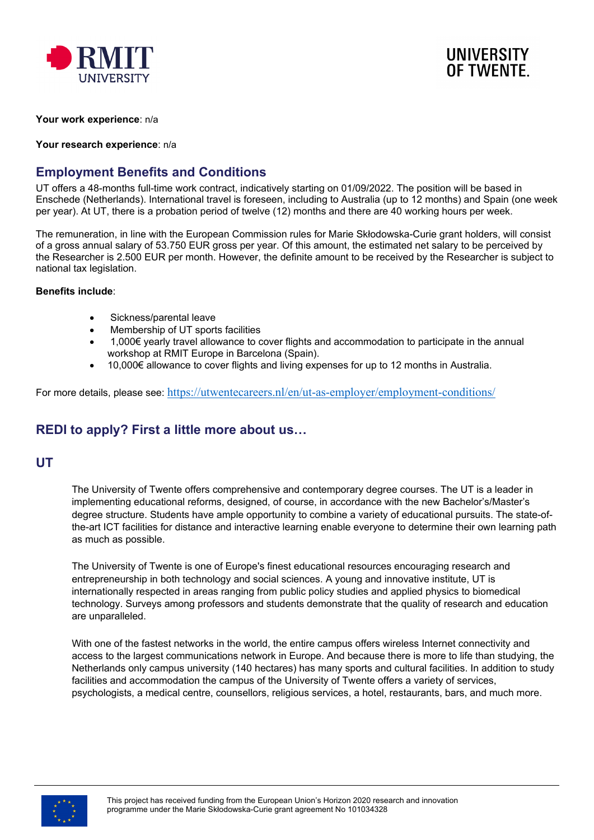



**Your work experience**: n/a

#### **Your research experience**: n/a

### **Employment Benefits and Conditions**

UT offers a 48-months full-time work contract, indicatively starting on 01/09/2022. The position will be based in Enschede (Netherlands). International travel is foreseen, including to Australia (up to 12 months) and Spain (one week per year). At UT, there is a probation period of twelve (12) months and there are 40 working hours per week.

The remuneration, in line with the European Commission rules for Marie Skłodowska-Curie grant holders, will consist of a gross annual salary of 53.750 EUR gross per year. Of this amount, the estimated net salary to be perceived by the Researcher is 2.500 EUR per month. However, the definite amount to be received by the Researcher is subject to national tax legislation.

#### **Benefits include**:

- Sickness/parental leave
- Membership of UT sports facilities
- 1,000€ yearly travel allowance to cover flights and accommodation to participate in the annual workshop at RMIT Europe in Barcelona (Spain).
- 10,000€ allowance to cover flights and living expenses for up to 12 months in Australia.

For more details, please see: <https://utwentecareers.nl/en/ut-as-employer/employment-conditions/>

# **REDI to apply? First a little more about us…**

#### **UT**

The University of Twente offers comprehensive and contemporary degree courses. The UT is a leader in implementing educational reforms, designed, of course, in accordance with the new Bachelor's/Master's degree structure. Students have ample opportunity to combine a variety of educational pursuits. The state-ofthe-art ICT facilities for distance and interactive learning enable everyone to determine their own learning path as much as possible.

The University of Twente is one of Europe's finest educational resources encouraging research and entrepreneurship in both technology and social sciences. A young and innovative institute, UT is internationally respected in areas ranging from public policy studies and applied physics to biomedical technology. Surveys among professors and students demonstrate that the quality of research and education are unparalleled.

With one of the fastest networks in the world, the entire campus offers wireless Internet connectivity and access to the largest communications network in Europe. And because there is more to life than studying, the Netherlands only campus university (140 hectares) has many sports and cultural facilities. In addition to study facilities and accommodation the campus of the University of Twente offers a variety of services, psychologists, a medical centre, counsellors, religious services, a hotel, restaurants, bars, and much more.

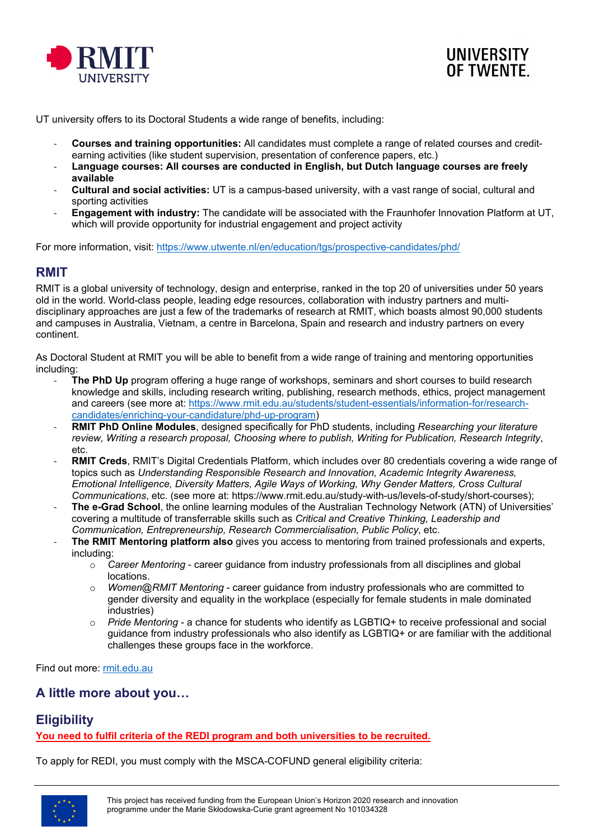



UT university offers to its Doctoral Students a wide range of benefits, including:

- **Courses and training opportunities:** All candidates must complete a range of related courses and creditearning activities (like student supervision, presentation of conference papers, etc.)
- **Language courses: All courses are conducted in English, but Dutch language courses are freely available**
- **Cultural and social activities:** UT is a campus-based university, with a vast range of social, cultural and sporting activities
- **Engagement with industry:** The candidate will be associated with the Fraunhofer Innovation Platform at UT, which will provide opportunity for industrial engagement and project activity

For more information, visit: [https://www.utwente.nl/en/education/tgs/prospective](https://www.utwente.nl/en/education/tgs/prospective-candidates/phd/)-candidates/phd/

### **RMIT**

RMIT is a global university of technology, design and enterprise, ranked in the top 20 of universities under 50 years old in the world. World-class people, leading edge resources, collaboration with industry partners and multidisciplinary approaches are just a few of the trademarks of research at RMIT, which boasts almost 90,000 students and campuses in Australia, Vietnam, a centre in Barcelona, Spain and research and industry partners on every continent.

As Doctoral Student at RMIT you will be able to benefit from a wide range of training and mentoring opportunities including:

- **The PhD Up** program offering a huge range of workshops, seminars and short courses to build research knowledge and skills, including research writing, publishing, research methods, ethics, project management and careers (see more at: [https://www.rmit.edu.au/students/student](https://www.rmit.edu.au/students/student-essentials/information-for/research-candidates/enriching-your-candidature/phd-up-program)-essentials/information-for/research[candidates/enriching-your-candidature/phd-up-program\)](https://www.rmit.edu.au/students/student-essentials/information-for/research-candidates/enriching-your-candidature/phd-up-program)
- **RMIT PhD Online Modules**, designed specifically for PhD students, including *Researching your literature review, Writing a research proposal, Choosing where to publish, Writing for Publication, Research Integrity*, etc.
- **RMIT Creds**, RMIT's Digital Credentials Platform, which includes over 80 credentials covering a wide range of topics such as *Understanding Responsible Research and Innovation, Academic Integrity Awareness, Emotional Intelligence, Diversity Matters, Agile Ways of Working, Why Gender Matters, Cross Cultural Communications*, etc. (see more at: https://www.rmit.edu.au/study-with-us/levels-of-study/short-courses);
- The e-Grad School, the online learning modules of the Australian Technology Network (ATN) of Universities' covering a multitude of transferrable skills such as *Critical and Creative Thinking, Leadership and Communication, Entrepreneurship, Research Commercialisation, Public Policy*, etc.
- The RMIT Mentoring platform also gives you access to mentoring from trained professionals and experts, including:
	- o *Career Mentoring* career guidance from industry professionals from all disciplines and global locations.
	- o *Women@RMIT Mentoring* career guidance from industry professionals who are committed to gender diversity and equality in the workplace (especially for female students in male dominated industries)
	- o *Pride Mentoring* a chance for students who identify as LGBTIQ+ to receive professional and social guidance from industry professionals who also identify as LGBTIQ+ or are familiar with the additional challenges these groups face in the workforce.

Find out more: [rmit.edu.au](https://www.rmit.edu.au/)

### **A little more about you…**

### **Eligibility**

**You need to fulfil criteria of the REDI program and both universities to be recruited.**

To apply for REDI, you must comply with the MSCA-COFUND general eligibility criteria:

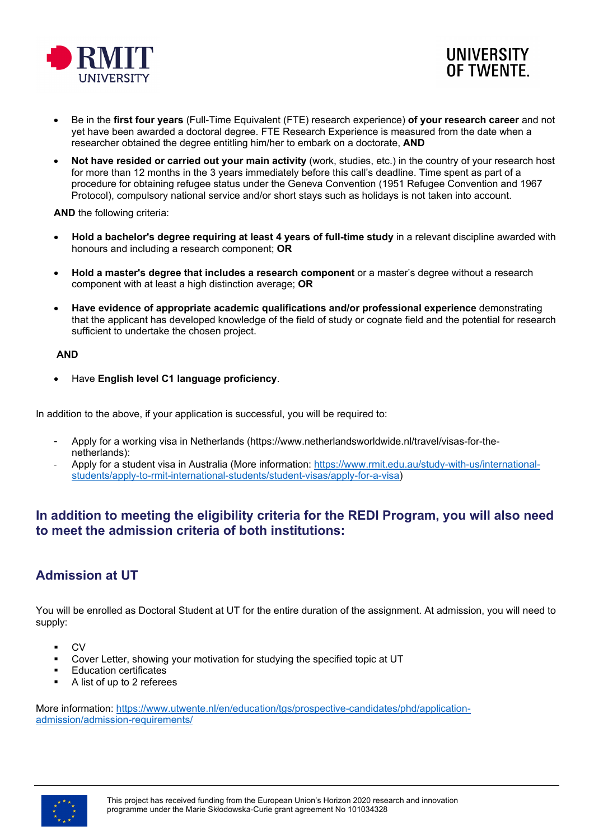



- Be in the **first four years** (Full-Time Equivalent (FTE) research experience) **of your research career** and not yet have been awarded a doctoral degree. FTE Research Experience is measured from the date when a researcher obtained the degree entitling him/her to embark on a doctorate, **AND**
- **Not have resided or carried out your main activity** (work, studies, etc.) in the country of your research host for more than 12 months in the 3 years immediately before this call's deadline. Time spent as part of a procedure for obtaining refugee status under the Geneva Convention (1951 Refugee Convention and 1967 Protocol), compulsory national service and/or short stays such as holidays is not taken into account.

**AND** the following criteria:

- **Hold a bachelor's degree requiring at least 4 years of full-time study** in a relevant discipline awarded with honours and including a research component; **OR**
- **Hold a master's degree that includes a research component** or a master's degree without a research component with at least a high distinction average; **OR**
- **Have evidence of appropriate academic qualifications and/or professional experience** demonstrating that the applicant has developed knowledge of the field of study or cognate field and the potential for research sufficient to undertake the chosen project.

#### **AND**

• Have **English level C1 language proficiency**.

In addition to the above, if your application is successful, you will be required to:

- Apply for a working visa in Netherlands (https://www.netherlandsworldwide.nl/travel/visas-for-thenetherlands):
- Apply for a student visa in Australia (More information: [https://www.rmit.edu.au/study](https://www.rmit.edu.au/study-with-us/international-students/apply-to-rmit-international-students/student-visas/apply-for-a-visa)-with-us/internationalstudents/apply-to-rmit-international[-students/student-](https://www.rmit.edu.au/study-with-us/international-students/apply-to-rmit-international-students/student-visas/apply-for-a-visa)visas/apply-for-a-visa)

### **In addition to meeting the eligibility criteria for the REDI Program, you will also need to meet the admission criteria of both institutions:**

# **Admission at UT**

You will be enrolled as Doctoral Student at UT for the entire duration of the assignment. At admission, you will need to supply:

- CV
- Cover Letter, showing your motivation for studying the specified topic at UT
- **Education certificates**
- A list of up to 2 referees

More information: [https://www.utwente.nl/en/education/tgs/prospective](https://www.utwente.nl/en/education/tgs/prospective-candidates/phd/application-admission/admission-requirements/)-candidates/phd/application[admission/admission-requirements/](https://www.utwente.nl/en/education/tgs/prospective-candidates/phd/application-admission/admission-requirements/)